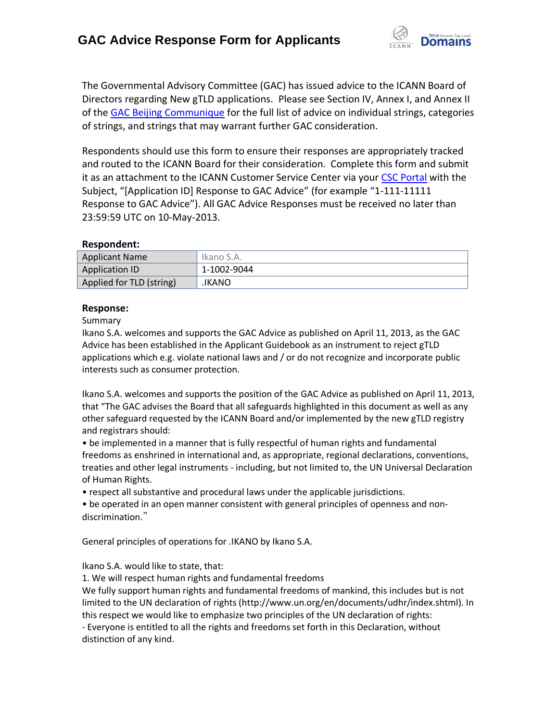

The Governmental Advisory Committee (GAC) has issued advice to the ICANN Board of Directors regarding New gTLD applications. Please see Section IV, Annex I, and Annex II of the [GAC Beijing Communique](http://www.icann.org/en/news/correspondence/gac-to-board-18apr13-en.pdf) for the full list of advice on individual strings, categories of strings, and strings that may warrant further GAC consideration.

Respondents should use this form to ensure their responses are appropriately tracked and routed to the ICANN Board for their consideration. Complete this form and submit it as an attachment to the ICANN Customer Service Center via your CSC [Portal](https://myicann.secure.force.com/) with the Subject, "[Application ID] Response to GAC Advice" (for example "1-111-11111 Response to GAC Advice"). All GAC Advice Responses must be received no later than 23:59:59 UTC on 10-May-2013.

## **Respondent:**

| <b>Applicant Name</b>    | Ikano S.A.  |
|--------------------------|-------------|
| Application ID           | 1-1002-9044 |
| Applied for TLD (string) | .IKANO      |

## **Response:**

Summary

Ikano S.A. welcomes and supports the GAC Advice as published on April 11, 2013, as the GAC Advice has been established in the Applicant Guidebook as an instrument to reject gTLD applications which e.g. violate national laws and / or do not recognize and incorporate public interests such as consumer protection.

Ikano S.A. welcomes and supports the position of the GAC Advice as published on April 11, 2013, that "The GAC advises the Board that all safeguards highlighted in this document as well as any other safeguard requested by the ICANN Board and/or implemented by the new gTLD registry and registrars should:

• be implemented in a manner that is fully respectful of human rights and fundamental freedoms as enshrined in international and, as appropriate, regional declarations, conventions, treaties and other legal instruments - including, but not limited to, the UN Universal Declaration of Human Rights.

• respect all substantive and procedural laws under the applicable jurisdictions.

• be operated in an open manner consistent with general principles of openness and nondiscrimination."

General principles of operations for .IKANO by Ikano S.A.

Ikano S.A. would like to state, that:

1. We will respect human rights and fundamental freedoms

We fully support human rights and fundamental freedoms of mankind, this includes but is not limited to the UN declaration of rights (http://www.un.org/en/documents/udhr/index.shtml). In this respect we would like to emphasize two principles of the UN declaration of rights: - Everyone is entitled to all the rights and freedoms set forth in this Declaration, without distinction of any kind.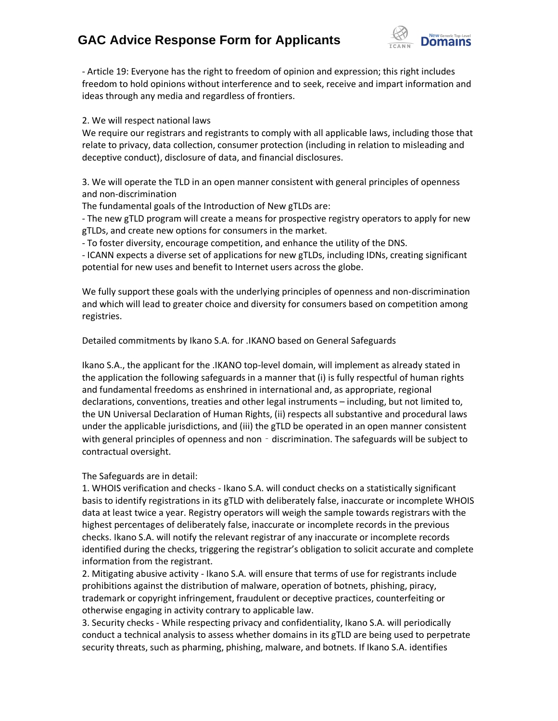## **GAC Advice Response Form for Applicants**



- Article 19: Everyone has the right to freedom of opinion and expression; this right includes freedom to hold opinions without interference and to seek, receive and impart information and ideas through any media and regardless of frontiers.

2. We will respect national laws

We require our registrars and registrants to comply with all applicable laws, including those that relate to privacy, data collection, consumer protection (including in relation to misleading and deceptive conduct), disclosure of data, and financial disclosures.

3. We will operate the TLD in an open manner consistent with general principles of openness and non-discrimination

The fundamental goals of the Introduction of New gTLDs are:

- The new gTLD program will create a means for prospective registry operators to apply for new gTLDs, and create new options for consumers in the market.

- To foster diversity, encourage competition, and enhance the utility of the DNS.

- ICANN expects a diverse set of applications for new gTLDs, including IDNs, creating significant potential for new uses and benefit to Internet users across the globe.

We fully support these goals with the underlying principles of openness and non-discrimination and which will lead to greater choice and diversity for consumers based on competition among registries.

Detailed commitments by Ikano S.A. for .IKANO based on General Safeguards

Ikano S.A., the applicant for the .IKANO top-level domain, will implement as already stated in the application the following safeguards in a manner that (i) is fully respectful of human rights and fundamental freedoms as enshrined in international and, as appropriate, regional declarations, conventions, treaties and other legal instruments – including, but not limited to, the UN Universal Declaration of Human Rights, (ii) respects all substantive and procedural laws under the applicable jurisdictions, and (iii) the gTLD be operated in an open manner consistent with general principles of openness and non - discrimination. The safeguards will be subject to contractual oversight.

The Safeguards are in detail:

1. WHOIS verification and checks - Ikano S.A. will conduct checks on a statistically significant basis to identify registrations in its gTLD with deliberately false, inaccurate or incomplete WHOIS data at least twice a year. Registry operators will weigh the sample towards registrars with the highest percentages of deliberately false, inaccurate or incomplete records in the previous checks. Ikano S.A. will notify the relevant registrar of any inaccurate or incomplete records identified during the checks, triggering the registrar's obligation to solicit accurate and complete information from the registrant.

2. Mitigating abusive activity - Ikano S.A. will ensure that terms of use for registrants include prohibitions against the distribution of malware, operation of botnets, phishing, piracy, trademark or copyright infringement, fraudulent or deceptive practices, counterfeiting or otherwise engaging in activity contrary to applicable law.

3. Security checks - While respecting privacy and confidentiality, Ikano S.A. will periodically conduct a technical analysis to assess whether domains in its gTLD are being used to perpetrate security threats, such as pharming, phishing, malware, and botnets. If Ikano S.A. identifies